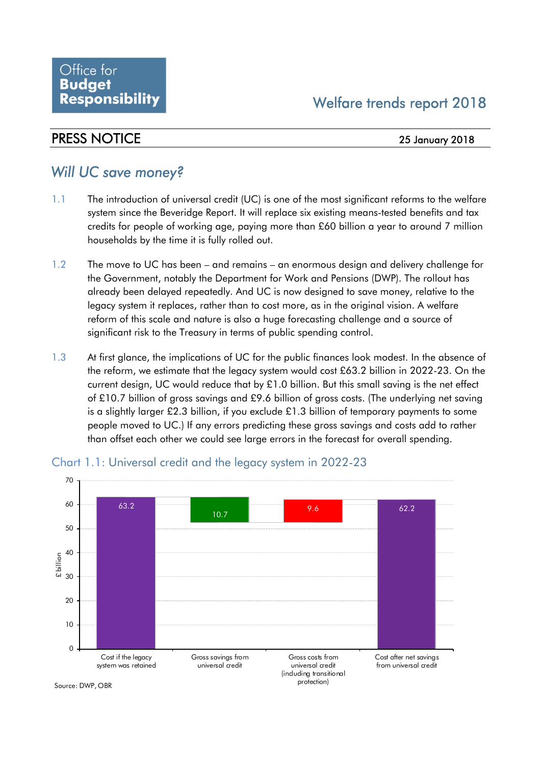## PRESS NOTICE 25 January 2018

# *Will UC save money?*

- 1.1 The introduction of universal credit (UC) is one of the most significant reforms to the welfare system since the Beveridge Report. It will replace six existing means-tested benefits and tax credits for people of working age, paying more than £60 billion a year to around 7 million households by the time it is fully rolled out.
- 1.2 The move to UC has been and remains an enormous design and delivery challenge for the Government, notably the Department for Work and Pensions (DWP). The rollout has already been delayed repeatedly. And UC is now designed to save money, relative to the legacy system it replaces, rather than to cost more, as in the original vision. A welfare reform of this scale and nature is also a huge forecasting challenge and a source of significant risk to the Treasury in terms of public spending control.
- 1.3 At first glance, the implications of UC for the public finances look modest. In the absence of the reform, we estimate that the legacy system would cost £63.2 billion in 2022-23. On the current design, UC would reduce that by £1.0 billion. But this small saving is the net effect of £10.7 billion of gross savings and £9.6 billion of gross costs. (The underlying net saving is a slightly larger £2.3 billion, if you exclude £1.3 billion of temporary payments to some people moved to UC.) If any errors predicting these gross savings and costs add to rather than offset each other we could see large errors in the forecast for overall spending.



### Chart 1.1: Universal credit and the legacy system in 2022-23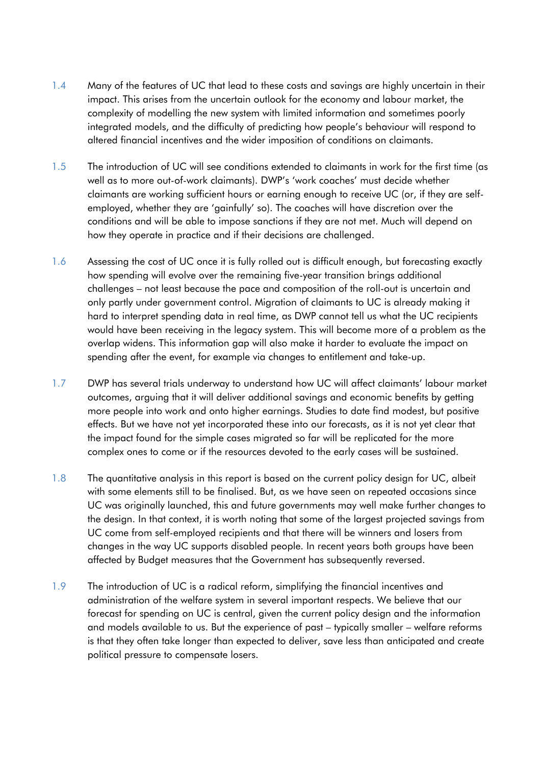- 1.4 Many of the features of UC that lead to these costs and savings are highly uncertain in their impact. This arises from the uncertain outlook for the economy and labour market, the complexity of modelling the new system with limited information and sometimes poorly integrated models, and the difficulty of predicting how people's behaviour will respond to altered financial incentives and the wider imposition of conditions on claimants.
- 1.5 The introduction of UC will see conditions extended to claimants in work for the first time (as well as to more out-of-work claimants). DWP's 'work coaches' must decide whether claimants are working sufficient hours or earning enough to receive UC (or, if they are selfemployed, whether they are 'gainfully' so). The coaches will have discretion over the conditions and will be able to impose sanctions if they are not met. Much will depend on how they operate in practice and if their decisions are challenged.
- 1.6 Assessing the cost of UC once it is fully rolled out is difficult enough, but forecasting exactly how spending will evolve over the remaining five-year transition brings additional challenges – not least because the pace and composition of the roll-out is uncertain and only partly under government control. Migration of claimants to UC is already making it hard to interpret spending data in real time, as DWP cannot tell us what the UC recipients would have been receiving in the legacy system. This will become more of a problem as the overlap widens. This information gap will also make it harder to evaluate the impact on spending after the event, for example via changes to entitlement and take-up.
- 1.7 DWP has several trials underway to understand how UC will affect claimants' labour market outcomes, arguing that it will deliver additional savings and economic benefits by getting more people into work and onto higher earnings. Studies to date find modest, but positive effects. But we have not yet incorporated these into our forecasts, as it is not yet clear that the impact found for the simple cases migrated so far will be replicated for the more complex ones to come or if the resources devoted to the early cases will be sustained.
- 1.8 The quantitative analysis in this report is based on the current policy design for UC, albeit with some elements still to be finalised. But, as we have seen on repeated occasions since UC was originally launched, this and future governments may well make further changes to the design. In that context, it is worth noting that some of the largest projected savings from UC come from self-employed recipients and that there will be winners and losers from changes in the way UC supports disabled people. In recent years both groups have been affected by Budget measures that the Government has subsequently reversed.
- 1.9 The introduction of UC is a radical reform, simplifying the financial incentives and administration of the welfare system in several important respects. We believe that our forecast for spending on UC is central, given the current policy design and the information and models available to us. But the experience of past – typically smaller – welfare reforms is that they often take longer than expected to deliver, save less than anticipated and create political pressure to compensate losers.